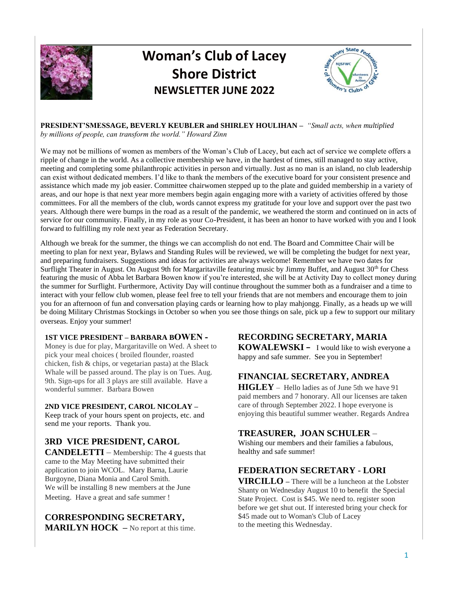

# **Woman's Club of Lacey Shore District NEWSLETTER JUNE 2022**



# **PRESIDENT'SMESSAGE, BEVERLY KEUBLER and SHIRLEY HOULIHAN –** *"Small acts, when multiplied*

*by millions of people, can transform the world." Howard Zinn*

We may not be millions of women as members of the Woman's Club of Lacey, but each act of service we complete offers a ripple of change in the world. As a collective membership we have, in the hardest of times, still managed to stay active, meeting and completing some philanthropic activities in person and virtually. Just as no man is an island, no club leadership can exist without dedicated members. I'd like to thank the members of the executive board for your consistent presence and assistance which made my job easier. Committee chairwomen stepped up to the plate and guided membership in a variety of areas, and our hope is that next year more members begin again engaging more with a variety of activities offered by those committees. For all the members of the club, words cannot express my gratitude for your love and support over the past two years. Although there were bumps in the road as a result of the pandemic, we weathered the storm and continued on in acts of service for our community. Finally, in my role as your Co-President, it has been an honor to have worked with you and I look forward to fulfilling my role next year as Federation Secretary.

Although we break for the summer, the things we can accomplish do not end. The Board and Committee Chair will be meeting to plan for next year, Bylaws and Standing Rules will be reviewed, we will be completing the budget for next year, and preparing fundraisers. Suggestions and ideas for activities are always welcome! Remember we have two dates for Surflight Theater in August. On August 9th for Margaritaville featuring music by Jimmy Buffet, and August 30<sup>th</sup> for Chess featuring the music of Abba let Barbara Bowen know if you're interested, she will be at Activity Day to collect money during the summer for Surflight. Furthermore, Activity Day will continue throughout the summer both as a fundraiser and a time to interact with your fellow club women, please feel free to tell your friends that are not members and encourage them to join you for an afternoon of fun and conversation playing cards or learning how to play mahjongg. Finally, as a heads up we will be doing Military Christmas Stockings in October so when you see those things on sale, pick up a few to support our military overseas. Enjoy your summer!

## **1ST VICE PRESIDENT – BARBARA BOWEN -**

Money is due for play, Margaritaville on Wed. A sheet to pick your meal choices ( broiled flounder, roasted chicken, fish & chips, or vegetarian pasta) at the Black Whale will be passed around. The play is on Tues. Aug. 9th. Sign-ups for all 3 plays are still available. Have a wonderful summer. Barbara Bowen

## **2ND VICE PRESIDENT, CAROL NICOLAY –**

Keep track of your hours spent on projects, etc. and send me your reports. Thank you.

# **3RD VICE PRESIDENT, CAROL**

**CANDELETTI** – Membership: The 4 guests that came to the May Meeting have submitted their application to join WCOL. Mary Barna, Laurie Burgoyne, Diana Monia and Carol Smith. We will be installing 8 new members at the June Meeting. Have a great and safe summer !

# **CORRESPONDING SECRETARY,**

**MARILYN HOCK** – No report at this time.

# **RECORDING SECRETARY, MARIA**

**KOWALEWSKI –** I would like to wish everyone a happy and safe summer. See you in September!

# **FINANCIAL SECRETARY, ANDREA**

**HIGLEY** – Hello ladies as of June 5th we have 91 paid members and 7 honorary. All our licenses are taken care of through September 2022. I hope everyone is enjoying this beautiful summer weather. Regards Andrea

# **TREASURER, JOAN SCHULER** –

Wishing our members and their families a fabulous, healthy and safe summer!

## **FEDERATION SECRETARY** - **LORI**

**VIRCILLO –** There will be a luncheon at the Lobster Shanty on Wednesday August 10 to benefit the Special State Project. Cost is \$45. We need to. register soon before we get shut out. If interested bring your check for \$45 made out to Woman's Club of Lacey to the meeting this Wednesday.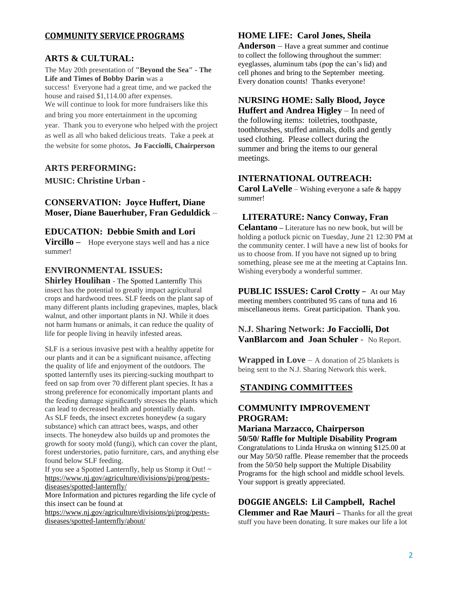## **COMMUNITY SERVICE PROGRAMS**

#### **ARTS & CULTURAL:**

The May 20th presentation of **"Beyond the Sea" - The Life and Times of Bobby Darin** was a success! Everyone had a great time, and we packed the house and raised \$1,114.00 after expenses. We will continue to look for more fundraisers like this and bring you more entertainment in the upcoming year. Thank you to everyone who helped with the project as well as all who baked delicious treats. Take a peek at

the website for some photos**. Jo Facciolli, Chairperson**

#### **ARTS PERFORMING:**

**MUSIC: Christine Urban -**

## **CONSERVATION: Joyce Huffert, Diane Moser, Diane Bauerhuber, Fran Geduldick** –

#### **EDUCATION: Debbie Smith and Lori**

**Vircillo** – Hope everyone stays well and has a nice summer!

#### **ENVIRONMENTAL ISSUES:**

**Shirley Houlihan** - The Spotted Lanternfly This insect has the potential to greatly impact agricultural crops and hardwood trees. SLF feeds on the plant sap of many different plants including grapevines, maples, black walnut, and other important plants in NJ. While it does not harm humans or animals, it can reduce the quality of life for people living in heavily infested areas.

SLF is a serious invasive pest with a healthy appetite for our plants and it can be a significant nuisance, affecting the quality of life and enjoyment of the outdoors. The spotted lanternfly uses its piercing-sucking mouthpart to feed on sap from over 70 different plant species. It has a strong preference for economically important plants and the feeding damage significantly stresses the plants which can lead to decreased health and potentially death. As SLF feeds, the insect excretes honeydew (a sugary substance) which can attract bees, wasps, and other insects. The honeydew also builds up and promotes the growth for sooty mold (fungi), which can cover the plant, forest understories, patio furniture, cars, and anything else found below SLF feeding.

If you see a Spotted Lanternfly, help us Stomp it Out! ~ [https://www.nj.gov/agriculture/divisions/pi/prog/pests](https://www.nj.gov/agriculture/divisions/pi/prog/pests-diseases/spotted-lanternfly/)[diseases/spotted-lanternfly/](https://www.nj.gov/agriculture/divisions/pi/prog/pests-diseases/spotted-lanternfly/)

More Information and pictures regarding the life cycle of this insect can be found at

[https://www.nj.gov/agriculture/divisions/pi/prog/pests](https://www.nj.gov/agriculture/divisions/pi/prog/pests-diseases/spotted-lanternfly/about/)[diseases/spotted-lanternfly/about/](https://www.nj.gov/agriculture/divisions/pi/prog/pests-diseases/spotted-lanternfly/about/)

#### **HOME LIFE: Carol Jones, Sheila**

**Anderson** – Have a great summer and continue to collect the following throughout the summer: eyeglasses, aluminum tabs (pop the can's lid) and cell phones and bring to the September meeting. Every donation counts! Thanks everyone!

## **NURSING HOME: Sally Blood, Joyce**

**Huffert and Andrea Higley** – In need of the following items: toiletries, toothpaste, toothbrushes, stuffed animals, dolls and gently used clothing. Please collect during the summer and bring the items to our general meetings.

## **INTERNATIONAL OUTREACH:**

**Carol LaVelle** – Wishing everyone a safe & happy summer!

#### **LITERATURE: Nancy Conway, Fran**

**Celantano –** Literature has no new book, but will be holding a potluck picnic on Tuesday, June 21 12:30 PM at the community center. I will have a new list of books for us to choose from. If you have not signed up to bring something, please see me at the meeting at Captains Inn. Wishing everybody a wonderful summer.

**PUBLIC ISSUES: Carol Crotty** – At our May meeting members contributed 95 cans of tuna and 16 miscellaneous items. Great participation. Thank you.

#### **N.J. Sharing Network: Jo Facciolli, Dot VanBlarcom and Joan Schuler** - No Report.

**Wrapped in Love** – A donation of 25 blankets is being sent to the N.J. Sharing Network this week.

#### **STANDING COMMITTEES**

## **COMMUNITY IMPROVEMENT PROGRAM:**

#### **Mariana Marzacco, Chairperson 50/50/ Raffle for Multiple Disability Program**

Congratulations to Linda Hruska on winning \$125.00 at our May 50/50 raffle. Please remember that the proceeds from the 50/50 help support the Multiple Disability Programs for the high school and middle school levels. Your support is greatly appreciated.

**DOGGIE ANGELS: Lil Campbell, Rachel Clemmer and Rae Mauri –** Thanks for all the great stuff you have been donating. It sure makes our life a lot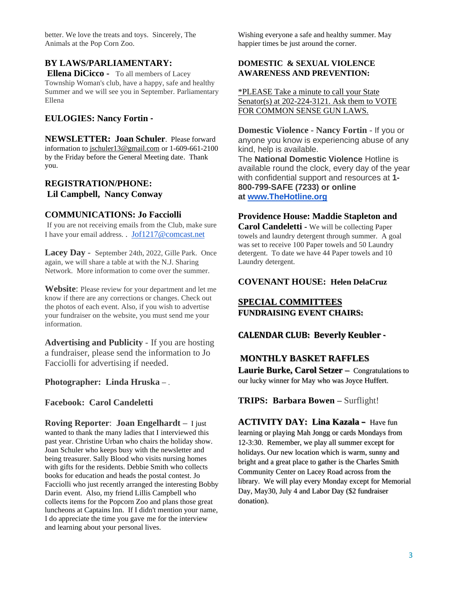better. We love the treats and toys. Sincerely, The Animals at the Pop Corn Zoo.

#### **BY LAWS/PARLIAMENTARY:**

**Ellena DiCicco -** To all members of Lacey Township Woman's club, have a happy, safe and healthy Summer and we will see you in September. Parliamentary Ellena

#### **EULOGIES: Nancy Fortin -**

**NEWSLETTER: Joan Schuler**. Please forward information to [jschuler13@gmail.com](mailto:jschuler13@gmail.com) or 1-609-661-2100 by the Friday before the General Meeting date. Thank you.

## **REGISTRATION/PHONE: Lil Campbell, Nancy Conway**

#### **COMMUNICATIONS: Jo Facciolli**

If you are not receiving emails from the Club, make sure I have your email address. . [Jof1217@comcast.net](mailto:Jof1217@comcast.net)

**Lacey Day** - September 24th, 2022, Gille Park. Once again, we will share a table at with the N.J. Sharing Network. More information to come over the summer.

**Website**: Please review for your department and let me know if there are any corrections or changes. Check out the photos of each event. Also, if you wish to advertise your fundraiser on the website, you must send me your information.

**Advertising and Publicity** - If you are hosting a fundraiser, please send the information to Jo Facciolli for advertising if needed.

**Photographer: Linda Hruska –** .

**Facebook: Carol Candeletti**

**Roving Reporter**: **Joan Engelhardt –** I just wanted to thank the many ladies that I interviewed this past year. Christine Urban who chairs the holiday show. Joan Schuler who keeps busy with the newsletter and being treasurer. Sally Blood who visits nursing homes with gifts for the residents. Debbie Smith who collects books for education and heads the postal contest. Jo Facciolli who just recently arranged the interesting Bobby Darin event. Also, my friend Lillis Campbell who collects items for the Popcorn Zoo and plans those great luncheons at Captains Inn. If I didn't mention your name, I do appreciate the time you gave me for the interview and learning about your personal lives.

Wishing everyone a safe and healthy summer. May happier times be just around the corner.

#### **DOMESTIC & SEXUAL VIOLENCE AWARENESS AND PREVENTION:**

\*PLEASE Take a minute to call your State Senator(s) at 202-224-3121. Ask them to VOTE FOR COMMON SENSE GUN LAWS.

**Domestic Violence - Nancy Fortin** - If you or anyone you know is experiencing abuse of any kind, help is available. The **National Domestic Violence** Hotline is available round the clock, every day of the year with confidential support and resources at **1- 800-799-SAFE (7233) or online at [www.TheHotline.org](http://www.thehotline.org/)**

#### **Providence House: Maddie Stapleton and**

**Carol Candeletti -** We will be collecting Paper towels and laundry detergent through summer. A goal was set to receive 100 Paper towels and 50 Laundry detergent. To date we have 44 Paper towels and 10 Laundry detergent.

#### **COVENANT HOUSE: Helen DelaCruz**

#### **SPECIAL COMMITTEES FUNDRAISING EVENT CHAIRS:**

#### **CALENDAR CLUB: Beverly Keubler -**

## **MONTHLY BASKET RAFFLES**

**Laurie Burke, Carol Setzer –** Congratulations to our lucky winner for May who was Joyce Huffert.

**TRIPS: Barbara Bowen –** Surflight!

**ACTIVITY DAY: Lina Kazala –** Have fun learning or playing Mah Jongg or cards Mondays from 12-3:30. Remember, we play all summer except for holidays. Our new location which is warm, sunny and bright and a great place to gather is the Charles Smith Community Center on Lacey Road across from the library. We will play every Monday except for Memorial Day, May30, July 4 and Labor Day (\$2 fundraiser donation).